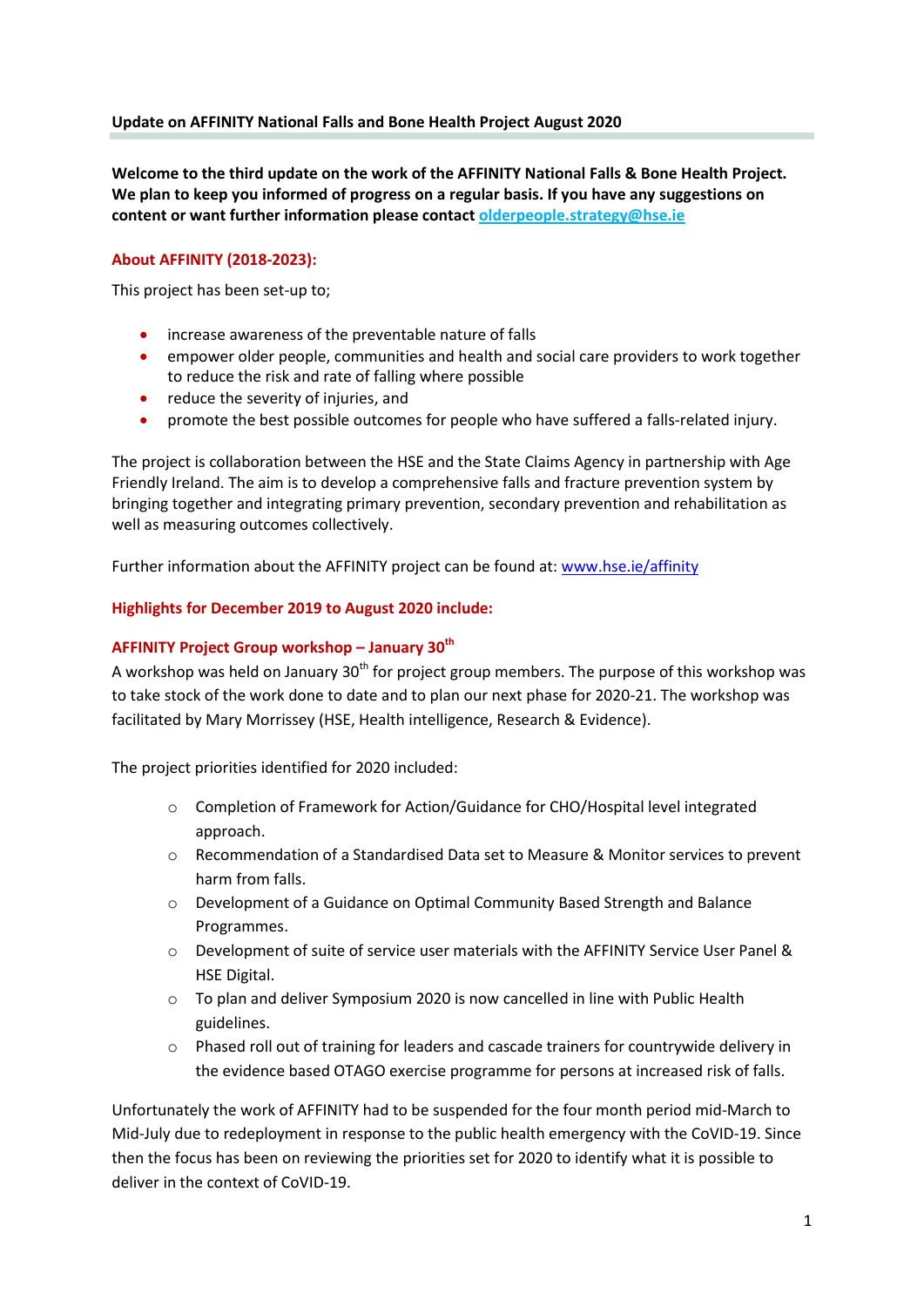## **Update on AFFINITY National Falls and Bone Health Project August 2020**

**Welcome to the third update on the work of the AFFINITY National Falls & Bone Health Project. We plan to keep you informed of progress on a regular basis. If you have any suggestions on content or want further information please contact olderpeople.strategy@hse.ie**

# **About AFFINITY (2018-2023):**

This project has been set-up to;

- increase awareness of the preventable nature of falls
- empower older people, communities and health and social care providers to work together to reduce the risk and rate of falling where possible
- reduce the severity of injuries, and
- promote the best possible outcomes for people who have suffered a falls-related injury.

The project is collaboration between the HSE and the State Claims Agency in partnership with Age Friendly Ireland. The aim is to develop a comprehensive falls and fracture prevention system by bringing together and integrating primary prevention, secondary prevention and rehabilitation as well as measuring outcomes collectively.

Further information about the AFFINITY project can be found at[: www.hse.ie/affinity](http://www.hse.ie/affinity)

## **Highlights for December 2019 to August 2020 include:**

### **AFFINITY Project Group workshop – January 30th**

A workshop was held on January  $30<sup>th</sup>$  for project group members. The purpose of this workshop was to take stock of the work done to date and to plan our next phase for 2020-21. The workshop was facilitated by Mary Morrissey (HSE, Health intelligence, Research & Evidence).

The project priorities identified for 2020 included:

- o Completion of Framework for Action/Guidance for CHO/Hospital level integrated approach.
- o Recommendation of a Standardised Data set to Measure & Monitor services to prevent harm from falls.
- o Development of a Guidance on Optimal Community Based Strength and Balance Programmes.
- o Development of suite of service user materials with the AFFINITY Service User Panel & HSE Digital.
- $\circ$  To plan and deliver Symposium 2020 is now cancelled in line with Public Health guidelines.
- o Phased roll out of training for leaders and cascade trainers for countrywide delivery in the evidence based OTAGO exercise programme for persons at increased risk of falls.

Unfortunately the work of AFFINITY had to be suspended for the four month period mid-March to Mid-July due to redeployment in response to the public health emergency with the CoVID-19. Since then the focus has been on reviewing the priorities set for 2020 to identify what it is possible to deliver in the context of CoVID-19.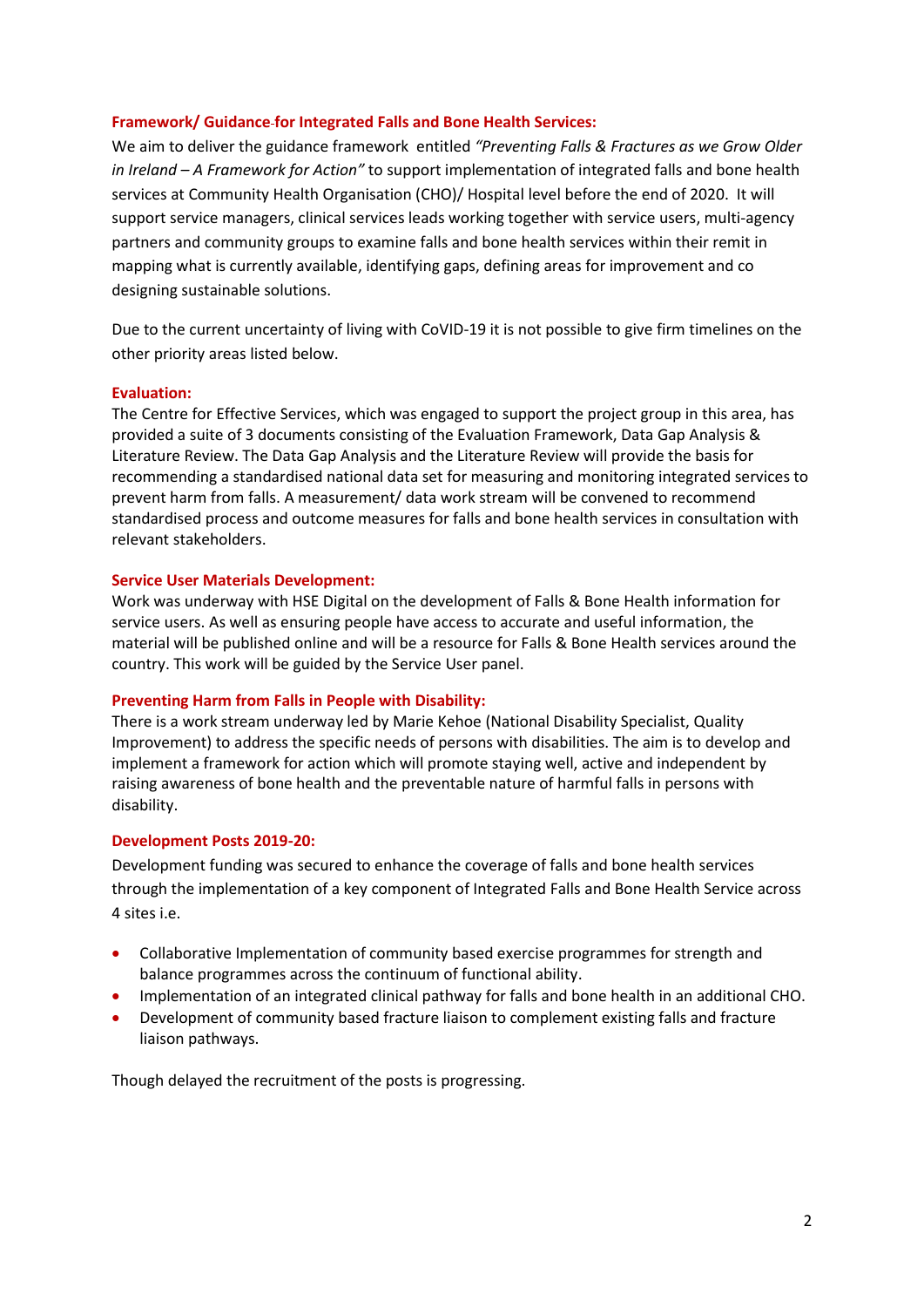## **Framework/ Guidance for Integrated Falls and Bone Health Services:**

We aim to deliver the guidance framework entitled *"Preventing Falls & Fractures as we Grow Older in Ireland – A Framework for Action"* to support implementation of integrated falls and bone health services at Community Health Organisation (CHO)/ Hospital level before the end of 2020. It will support service managers, clinical services leads working together with service users, multi-agency partners and community groups to examine falls and bone health services within their remit in mapping what is currently available, identifying gaps, defining areas for improvement and co designing sustainable solutions.

Due to the current uncertainty of living with CoVID-19 it is not possible to give firm timelines on the other priority areas listed below.

### **Evaluation:**

The Centre for Effective Services, which was engaged to support the project group in this area, has provided a suite of 3 documents consisting of the Evaluation Framework, Data Gap Analysis & Literature Review. The Data Gap Analysis and the Literature Review will provide the basis for recommending a standardised national data set for measuring and monitoring integrated services to prevent harm from falls. A measurement/ data work stream will be convened to recommend standardised process and outcome measures for falls and bone health services in consultation with relevant stakeholders.

#### **Service User Materials Development:**

Work was underway with HSE Digital on the development of Falls & Bone Health information for service users. As well as ensuring people have access to accurate and useful information, the material will be published online and will be a resource for Falls & Bone Health services around the country. This work will be guided by the Service User panel.

#### **Preventing Harm from Falls in People with Disability:**

There is a work stream underway led by Marie Kehoe (National Disability Specialist, Quality Improvement) to address the specific needs of persons with disabilities. The aim is to develop and implement a framework for action which will promote staying well, active and independent by raising awareness of bone health and the preventable nature of harmful falls in persons with disability.

#### **Development Posts 2019-20:**

Development funding was secured to enhance the coverage of falls and bone health services through the implementation of a key component of Integrated Falls and Bone Health Service across 4 sites i.e.

- Collaborative Implementation of community based exercise programmes for strength and balance programmes across the continuum of functional ability.
- Implementation of an integrated clinical pathway for falls and bone health in an additional CHO.
- Development of community based fracture liaison to complement existing falls and fracture liaison pathways.

Though delayed the recruitment of the posts is progressing.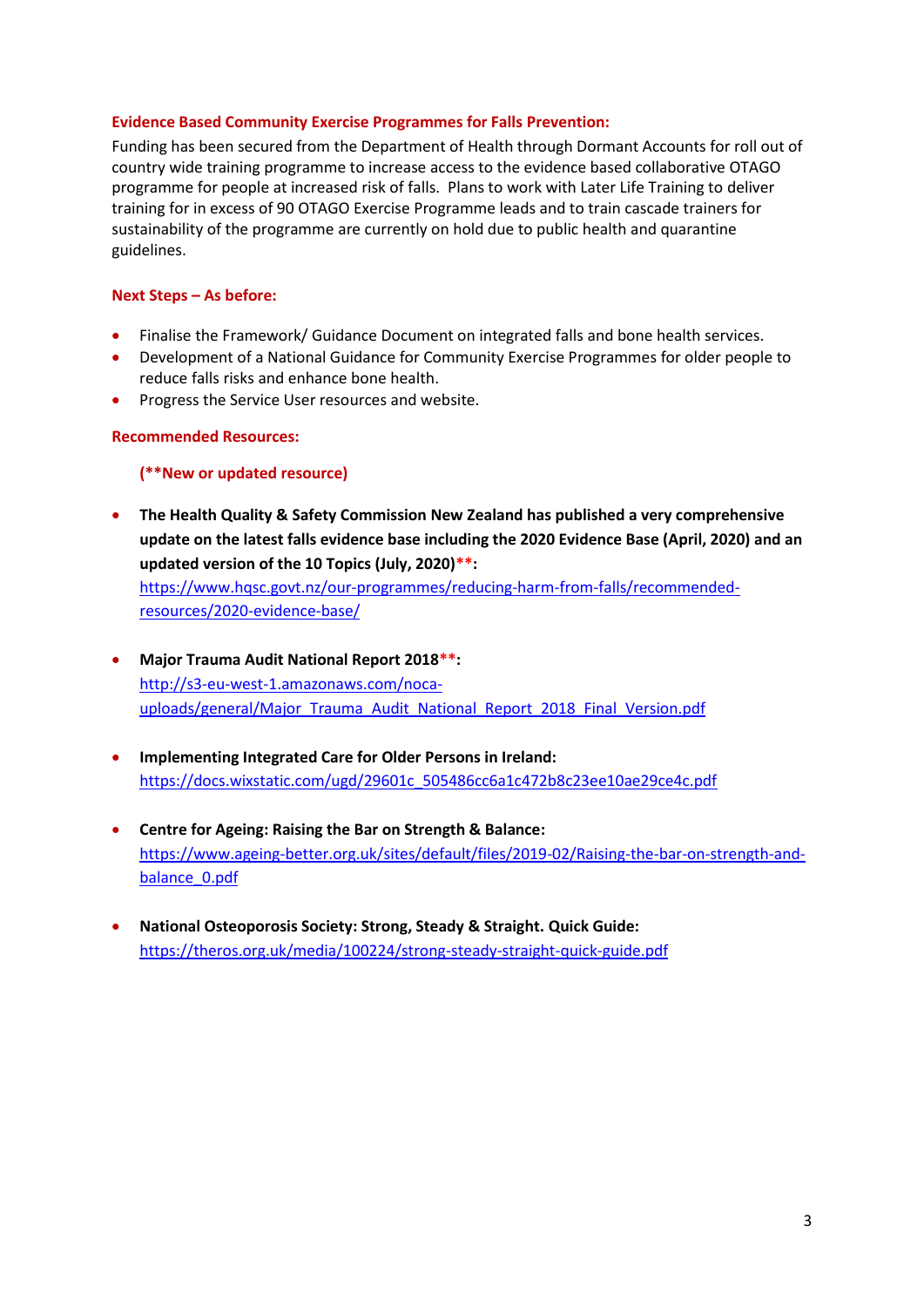## **Evidence Based Community Exercise Programmes for Falls Prevention:**

Funding has been secured from the Department of Health through Dormant Accounts for roll out of country wide training programme to increase access to the evidence based collaborative OTAGO programme for people at increased risk of falls. Plans to work with Later Life Training to deliver training for in excess of 90 OTAGO Exercise Programme leads and to train cascade trainers for sustainability of the programme are currently on hold due to public health and quarantine guidelines.

# **Next Steps – As before:**

- Finalise the Framework/ Guidance Document on integrated falls and bone health services.
- Development of a National Guidance for Community Exercise Programmes for older people to reduce falls risks and enhance bone health.
- Progress the Service User resources and website.

# **Recommended Resources:**

# **(\*\*New or updated resource)**

 **The Health Quality & Safety Commission New Zealand has published a very comprehensive update on the latest falls evidence base including the 2020 Evidence Base (April, 2020) and an updated version of the 10 Topics (July, 2020)\*\*:**

[https://www.hqsc.govt.nz/our-programmes/reducing-harm-from-falls/recommended](https://www.hqsc.govt.nz/our-programmes/reducing-harm-from-falls/recommended-resources/2020-evidence-base/)[resources/2020-evidence-base/](https://www.hqsc.govt.nz/our-programmes/reducing-harm-from-falls/recommended-resources/2020-evidence-base/)

- **Major Trauma Audit National Report 2018\*\*:** [http://s3-eu-west-1.amazonaws.com/noca](http://s3-eu-west-1.amazonaws.com/noca-uploads/general/Major_Trauma_Audit_National_Report_2018_Final_Version.pdf)[uploads/general/Major\\_Trauma\\_Audit\\_National\\_Report\\_2018\\_Final\\_Version.pdf](http://s3-eu-west-1.amazonaws.com/noca-uploads/general/Major_Trauma_Audit_National_Report_2018_Final_Version.pdf)
- **Implementing Integrated Care for Older Persons in Ireland:** [https://docs.wixstatic.com/ugd/29601c\\_505486cc6a1c472b8c23ee10ae29ce4c.pdf](https://docs.wixstatic.com/ugd/29601c_505486cc6a1c472b8c23ee10ae29ce4c.pdf)
- **Centre for Ageing: Raising the Bar on Strength & Balance:** [https://www.ageing-better.org.uk/sites/default/files/2019-02/Raising-the-bar-on-strength-and](https://www.ageing-better.org.uk/sites/default/files/2019-02/Raising-the-bar-on-strength-and-balance_0.pdf)[balance\\_0.pdf](https://www.ageing-better.org.uk/sites/default/files/2019-02/Raising-the-bar-on-strength-and-balance_0.pdf)
- **National Osteoporosis Society: Strong, Steady & Straight. Quick Guide:**  <https://theros.org.uk/media/100224/strong-steady-straight-quick-guide.pdf>